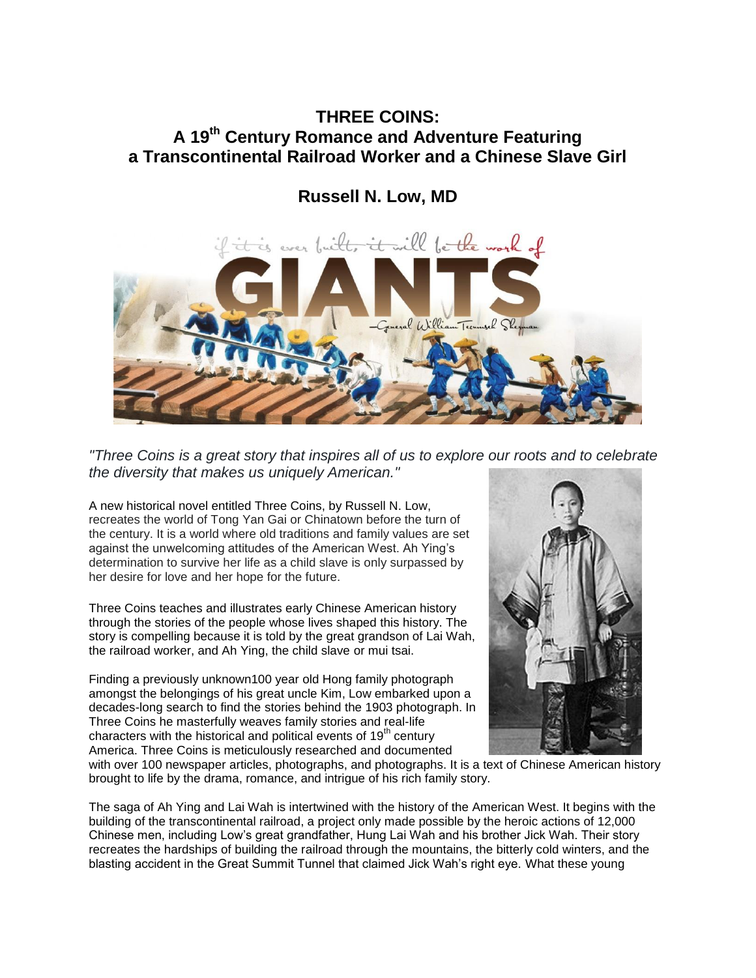## **THREE COINS: A 19th Century Romance and Adventure Featuring a Transcontinental Railroad Worker and a Chinese Slave Girl**

**Russell N. Low, MD**



*"Three Coins is a great story that inspires all of us to explore our roots and to celebrate the diversity that makes us uniquely American."*

A new historical novel entitled Three Coins, by Russell N. Low, recreates the world of Tong Yan Gai or Chinatown before the turn of the century. It is a world where old traditions and family values are set against the unwelcoming attitudes of the American West. Ah Ying's determination to survive her life as a child slave is only surpassed by her desire for love and her hope for the future.

Three Coins teaches and illustrates early Chinese American history through the stories of the people whose lives shaped this history. The story is compelling because it is told by the great grandson of Lai Wah, the railroad worker, and Ah Ying, the child slave or mui tsai.

Finding a previously unknown100 year old Hong family photograph amongst the belongings of his great uncle Kim, Low embarked upon a decades-long search to find the stories behind the 1903 photograph. In Three Coins he masterfully weaves family stories and real-life characters with the historical and political events of  $19<sup>th</sup>$  century America. Three Coins is meticulously researched and documented



with over 100 newspaper articles, photographs, and photographs. It is a text of Chinese American history brought to life by the drama, romance, and intrigue of his rich family story.

The saga of Ah Ying and Lai Wah is intertwined with the history of the American West. It begins with the building of the transcontinental railroad, a project only made possible by the heroic actions of 12,000 Chinese men, including Low's great grandfather, Hung Lai Wah and his brother Jick Wah. Their story recreates the hardships of building the railroad through the mountains, the bitterly cold winters, and the blasting accident in the Great Summit Tunnel that claimed Jick Wah's right eye. What these young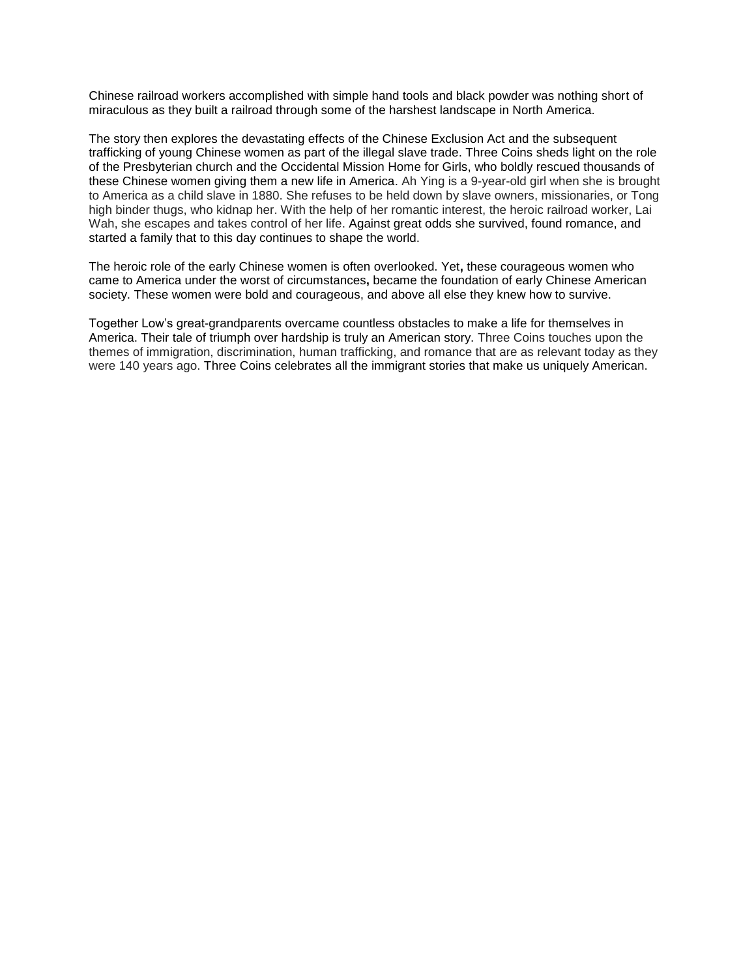Chinese railroad workers accomplished with simple hand tools and black powder was nothing short of miraculous as they built a railroad through some of the harshest landscape in North America.

The story then explores the devastating effects of the Chinese Exclusion Act and the subsequent trafficking of young Chinese women as part of the illegal slave trade. Three Coins sheds light on the role of the Presbyterian church and the Occidental Mission Home for Girls, who boldly rescued thousands of these Chinese women giving them a new life in America. Ah Ying is a 9-year-old girl when she is brought to America as a child slave in 1880. She refuses to be held down by slave owners, missionaries, or Tong high binder thugs, who kidnap her. With the help of her romantic interest, the heroic railroad worker, Lai Wah, she escapes and takes control of her life. Against great odds she survived, found romance, and started a family that to this day continues to shape the world.

The heroic role of the early Chinese women is often overlooked. Yet**,** these courageous women who came to America under the worst of circumstances**,** became the foundation of early Chinese American society. These women were bold and courageous, and above all else they knew how to survive.

Together Low's great-grandparents overcame countless obstacles to make a life for themselves in America. Their tale of triumph over hardship is truly an American story. Three Coins touches upon the themes of immigration, discrimination, human trafficking, and romance that are as relevant today as they were 140 years ago. Three Coins celebrates all the immigrant stories that make us uniquely American.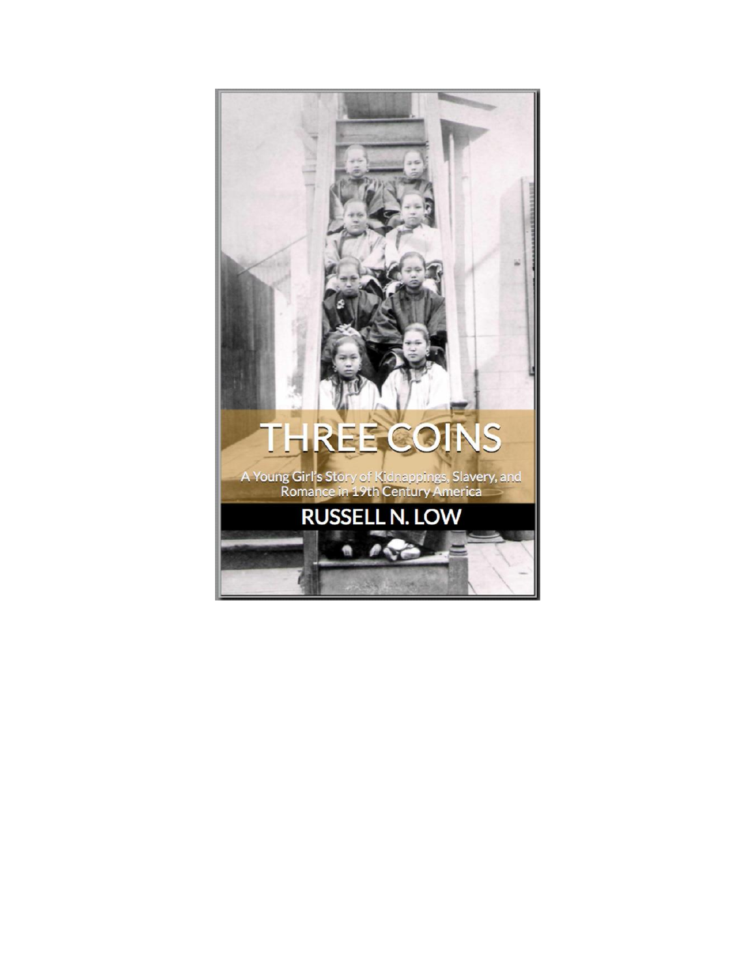